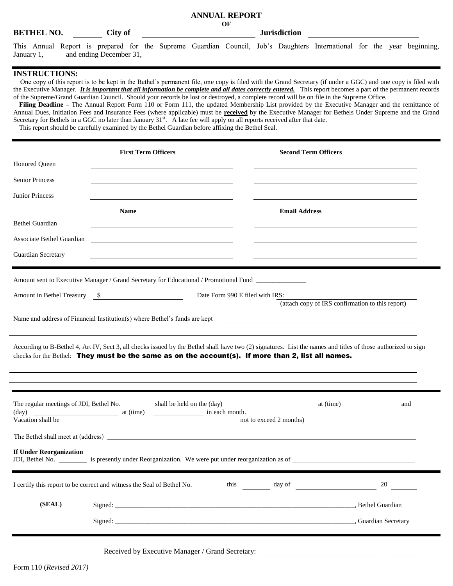## **ANNUAL REPORT OF**

## **BETHEL NO.** City of **City of Surisdiction**

This Annual Report is prepared for the Supreme Guardian Council, Job's Daughters International for the year beginning, January 1, \_\_\_\_\_ and ending December 31, \_\_\_\_\_

## **INSTRUCTIONS:**

One copy of this report is to be kept in the Bethel's permanent file, one copy is filed with the Grand Secretary (if under a GGC) and one copy is filed with the Executive Manager. *It is important that all information be complete and all dates correctly entered.* This report becomes a part of the permanent records of the Supreme/Grand Guardian Council. Should your records be lost or destroyed, a complete record will be on file in the Supreme Office.

Filing Deadline – The Annual Report Form 110 or Form 111, the updated Membership List provided by the Executive Manager and the remittance of Annual Dues, Initiation Fees and Insurance Fees (where applicable) must be **received** by the Executive Manager for Bethels Under Supreme and the Grand Secretary for Bethels in a GGC no later than January  $31<sup>st</sup>$ . A late fee will apply on all reports received after that date. This report should be carefully examined by the Bethel Guardian before affixing the Bethel Seal.

|                                | <b>First Term Officers</b>                                                                                                                                                                                                                                          |                                 | <b>Second Term Officers</b> |                                                  |     |
|--------------------------------|---------------------------------------------------------------------------------------------------------------------------------------------------------------------------------------------------------------------------------------------------------------------|---------------------------------|-----------------------------|--------------------------------------------------|-----|
| Honored Queen                  |                                                                                                                                                                                                                                                                     |                                 |                             |                                                  |     |
| <b>Senior Princess</b>         |                                                                                                                                                                                                                                                                     |                                 |                             |                                                  |     |
| <b>Junior Princess</b>         |                                                                                                                                                                                                                                                                     |                                 |                             |                                                  |     |
|                                | <b>Name</b>                                                                                                                                                                                                                                                         |                                 | <b>Email Address</b>        |                                                  |     |
| <b>Bethel Guardian</b>         |                                                                                                                                                                                                                                                                     |                                 |                             |                                                  |     |
| Associate Bethel Guardian      | <u> 1989 - Johann Stein, mars an deutscher Stein († 1989)</u>                                                                                                                                                                                                       |                                 |                             |                                                  |     |
| Guardian Secretary             | <u> 1989 - Johann Barbara, martxa alemaniar arg</u>                                                                                                                                                                                                                 |                                 |                             |                                                  |     |
|                                | Amount sent to Executive Manager / Grand Secretary for Educational / Promotional Fund ____________                                                                                                                                                                  |                                 |                             |                                                  |     |
|                                | Amount in Bethel Treasury \$                                                                                                                                                                                                                                        | Date Form 990 E filed with IRS: |                             |                                                  |     |
|                                |                                                                                                                                                                                                                                                                     |                                 |                             | (attach copy of IRS confirmation to this report) |     |
|                                | Name and address of Financial Institution(s) where Bethel's funds are kept <b>contained and address of Financial Institution</b> (s) where Bethel's funds are kept                                                                                                  |                                 |                             |                                                  |     |
|                                | According to B-Bethel 4, Art IV, Sect 3, all checks issued by the Bethel shall have two (2) signatures. List the names and titles of those authorized to sign<br>checks for the Bethel: They must be the same as on the account(s). If more than 2, list all names. |                                 |                             |                                                  |     |
|                                |                                                                                                                                                                                                                                                                     |                                 |                             |                                                  |     |
|                                | The regular meetings of JDI, Bethel No. shall be held on the (day) at (time) at (time)                                                                                                                                                                              |                                 |                             |                                                  | and |
| Vacation shall be              | not to exceed 2 months)                                                                                                                                                                                                                                             |                                 |                             |                                                  |     |
|                                |                                                                                                                                                                                                                                                                     |                                 |                             |                                                  |     |
| <b>If Under Reorganization</b> |                                                                                                                                                                                                                                                                     |                                 |                             |                                                  |     |
|                                |                                                                                                                                                                                                                                                                     |                                 |                             |                                                  | 20  |
| (SEAL)                         |                                                                                                                                                                                                                                                                     |                                 |                             |                                                  |     |
|                                |                                                                                                                                                                                                                                                                     |                                 |                             |                                                  |     |